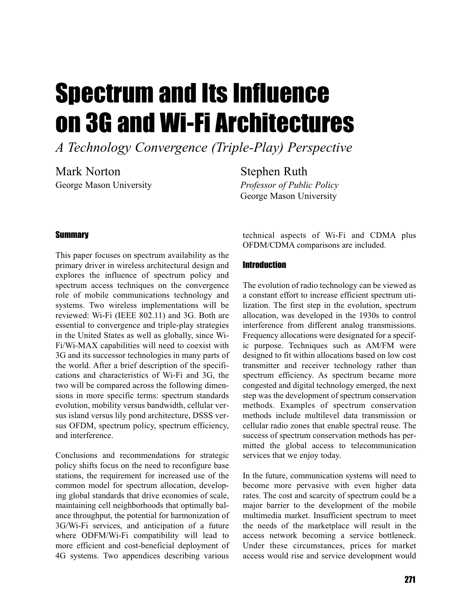# Spectrum and Its Influence on 3G and Wi-Fi Architectures

*A Technology Convergence (Triple-Play) Perspective*

Mark Norton George Mason University Stephen Ruth *Professor of Public Policy* George Mason University

### **Summary**

This paper focuses on spectrum availability as the primary driver in wireless architectural design and explores the influence of spectrum policy and spectrum access techniques on the convergence role of mobile communications technology and systems. Two wireless implementations will be reviewed: Wi-Fi (IEEE 802.11) and 3G. Both are essential to convergence and triple-play strategies in the United States as well as globally, since Wi-Fi/Wi-MAX capabilities will need to coexist with 3G and its successor technologies in many parts of the world. After a brief description of the specifications and characteristics of Wi-Fi and 3G, the two will be compared across the following dimensions in more specific terms: spectrum standards evolution, mobility versus bandwidth, cellular versus island versus lily pond architecture, DSSS versus OFDM, spectrum policy, spectrum efficiency, and interference.

Conclusions and recommendations for strategic policy shifts focus on the need to reconfigure base stations, the requirement for increased use of the common model for spectrum allocation, developing global standards that drive economies of scale, maintaining cell neighborhoods that optimally balance throughput, the potential for harmonization of 3G/Wi-Fi services, and anticipation of a future where ODFM/Wi-Fi compatibility will lead to more efficient and cost-beneficial deployment of 4G systems. Two appendices describing various

technical aspects of Wi-Fi and CDMA plus OFDM/CDMA comparisons are included.

#### **Introduction**

The evolution of radio technology can be viewed as a constant effort to increase efficient spectrum utilization. The first step in the evolution, spectrum allocation, was developed in the 1930s to control interference from different analog transmissions. Frequency allocations were designated for a specific purpose. Techniques such as AM/FM were designed to fit within allocations based on low cost transmitter and receiver technology rather than spectrum efficiency. As spectrum became more congested and digital technology emerged, the next step was the development of spectrum conservation methods. Examples of spectrum conservation methods include multilevel data transmission or cellular radio zones that enable spectral reuse. The success of spectrum conservation methods has permitted the global access to telecommunication services that we enjoy today.

In the future, communication systems will need to become more pervasive with even higher data rates. The cost and scarcity of spectrum could be a major barrier to the development of the mobile multimedia market. Insufficient spectrum to meet the needs of the marketplace will result in the access network becoming a service bottleneck. Under these circumstances, prices for market access would rise and service development would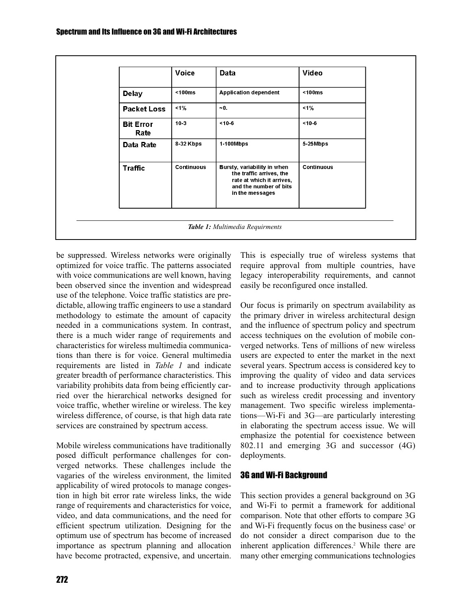|                          | Voice      | <b>Data</b>                                                                                                                       | Video             |
|--------------------------|------------|-----------------------------------------------------------------------------------------------------------------------------------|-------------------|
| <b>Delay</b>             | < 100ms    | <b>Application dependent</b>                                                                                                      | $100ms$           |
| <b>Packet Loss</b>       | 1%         | $-0.$                                                                                                                             | $1\%$             |
| <b>Bit Error</b><br>Rate | $10-3$     | $< 10 - 6$                                                                                                                        | $< 10 - 6$        |
| Data Rate                | 8-32 Kbps  | 1-100Mbps                                                                                                                         | 5-25Mbps          |
| <b>Traffic</b>           | Continuous | Bursty, variability in when<br>the traffic arrives, the<br>rate at which it arrives,<br>and the number of bits<br>in the messages | <b>Continuous</b> |

be suppressed. Wireless networks were originally optimized for voice traffic. The patterns associated with voice communications are well known, having been observed since the invention and widespread use of the telephone. Voice traffic statistics are predictable, allowing traffic engineers to use a standard methodology to estimate the amount of capacity needed in a communications system. In contrast, there is a much wider range of requirements and characteristics for wireless multimedia communications than there is for voice. General multimedia requirements are listed in *Table 1* and indicate greater breadth of performance characteristics. This variability prohibits data from being efficiently carried over the hierarchical networks designed for voice traffic, whether wireline or wireless. The key wireless difference, of course, is that high data rate services are constrained by spectrum access.

Mobile wireless communications have traditionally posed difficult performance challenges for converged networks. These challenges include the vagaries of the wireless environment, the limited applicability of wired protocols to manage congestion in high bit error rate wireless links, the wide range of requirements and characteristics for voice, video, and data communications, and the need for efficient spectrum utilization. Designing for the optimum use of spectrum has become of increased importance as spectrum planning and allocation have become protracted, expensive, and uncertain.

This is especially true of wireless systems that require approval from multiple countries, have legacy interoperability requirements, and cannot easily be reconfigured once installed.

Our focus is primarily on spectrum availability as the primary driver in wireless architectural design and the influence of spectrum policy and spectrum access techniques on the evolution of mobile converged networks. Tens of millions of new wireless users are expected to enter the market in the next several years. Spectrum access is considered key to improving the quality of video and data services and to increase productivity through applications such as wireless credit processing and inventory management. Two specific wireless implementations—Wi-Fi and 3G—are particularly interesting in elaborating the spectrum access issue. We will emphasize the potential for coexistence between 802.11 and emerging 3G and successor (4G) deployments.

# 3G and Wi-Fi Background

This section provides a general background on 3G and Wi-Fi to permit a framework for additional comparison. Note that other efforts to compare 3G and Wi-Fi frequently focus on the business case<sup>1</sup> or do not consider a direct comparison due to the inherent application differences.<sup>2</sup> While there are many other emerging communications technologies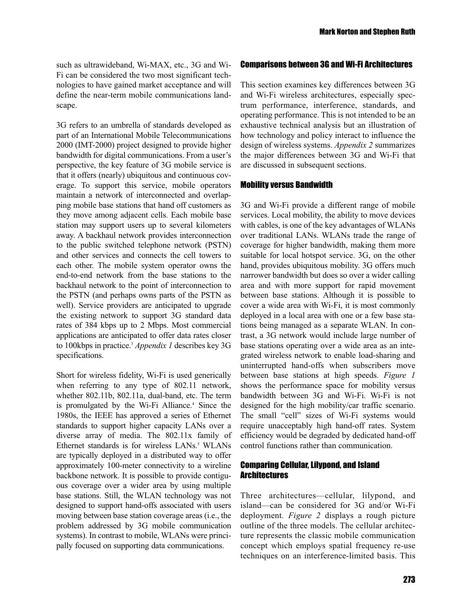such as ultrawideband, Wi-MAX, etc., 3G and Wi-Fi can be considered the two most significant technologies to have gained market acceptance and will define the near-term mobile communications landscape.

3G refers to an umbrella of standards developed as part of an International Mobile Telecommunications 2000 (IMT-2000) project designed to provide higher bandwidth for digital communications. From a user's perspective, the key feature of 3G mobile service is that it offers (nearly) ubiquitous and continuous coverage. To support this service, mobile operators maintain a network of interconnected and overlapping mobile base stations that hand off customers as they move among adjacent cells. Each mobile base station may support users up to several kilometers away. A backhaul network provides interconnection to the public switched telephone network (PSTN) and other services and connects the cell towers to each other. The mobile system operator owns the end-to-end network from the base stations to the backhaul network to the point of interconnection to the PSTN (and perhaps owns parts of the PSTN as well). Service providers are anticipated to upgrade the existing network to support 3G standard data rates of 384 kbps up to 2 Mbps. Most commercial applications are anticipated to offer data rates closer to 100kbps in practice.3 *Appendix 1* describes key 3G specifications.

Short for wireless fidelity, Wi-Fi is used generically when referring to any type of 802.11 network, whether 802.11b, 802.11a, dual-band, etc. The term is promulgated by the Wi-Fi Alliance.<sup>4</sup> Since the 1980s, the IEEE has approved a series of Ethernet standards to support higher capacity LANs over a diverse array of media. The 802.11x family of Ethernet standards is for wireless LANs.<sup>5</sup> WLANs are typically deployed in a distributed way to offer approximately 100-meter connectivity to a wireline backbone network. It is possible to provide contiguous coverage over a wider area by using multiple base stations. Still, the WLAN technology was not designed to support hand-offs associated with users moving between base station coverage areas (i.e., the problem addressed by 3G mobile communication systems). In contrast to mobile, WLANs were principally focused on supporting data communications.

#### Comparisons between 3G and Wi-Fi Architectures

This section examines key differences between 3G and Wi-Fi wireless architectures, especially spectrum performance, interference, standards, and operating performance. This is not intended to be an exhaustive technical analysis but an illustration of how technology and policy interact to influence the design of wireless systems. *Appendix 2* summarizes the major differences between 3G and Wi-Fi that are discussed in subsequent sections.

#### Mobility versus Bandwidth

3G and Wi-Fi provide a different range of mobile services. Local mobility, the ability to move devices with cables, is one of the key advantages of WLANs over traditional LANs. WLANs trade the range of coverage for higher bandwidth, making them more suitable for local hotspot service. 3G, on the other hand, provides ubiquitous mobility. 3G offers much narrower bandwidth but does so over a wider calling area and with more support for rapid movement between base stations. Although it is possible to cover a wide area with Wi-Fi, it is most commonly deployed in a local area with one or a few base stations being managed as a separate WLAN. In contrast, a 3G network would include large number of base stations operating over a wide area as an integrated wireless network to enable load-sharing and uninterrupted hand-offs when subscribers move between base stations at high speeds. *Figure 1* shows the performance space for mobility versus bandwidth between 3G and Wi-Fi. Wi-Fi is not designed for the high mobility/car traffic scenario. The small "cell" sizes of Wi-Fi systems would require unacceptably high hand-off rates. System efficiency would be degraded by dedicated hand-off control functions rather than communication.

### Comparing Cellular, Lilypond, and Island **Architectures**

Three architectures—cellular, lilypond, and island—can be considered for 3G and/or Wi-Fi deployment. *Figure 2* displays a rough picture outline of the three models. The cellular architecture represents the classic mobile communication concept which employs spatial frequency re-use techniques on an interference-limited basis. This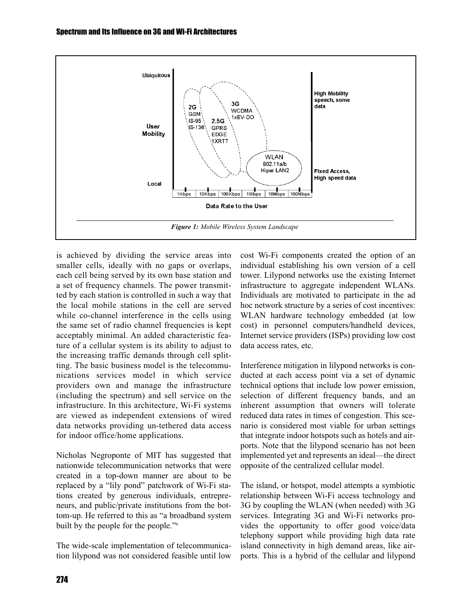

is achieved by dividing the service areas into smaller cells, ideally with no gaps or overlaps, each cell being served by its own base station and a set of frequency channels. The power transmitted by each station is controlled in such a way that the local mobile stations in the cell are served while co-channel interference in the cells using the same set of radio channel frequencies is kept acceptably minimal. An added characteristic feature of a cellular system is its ability to adjust to the increasing traffic demands through cell splitting. The basic business model is the telecommunications services model in which service providers own and manage the infrastructure (including the spectrum) and sell service on the infrastructure. In this architecture, Wi-Fi systems are viewed as independent extensions of wired data networks providing un-tethered data access for indoor office/home applications.

Nicholas Negroponte of MIT has suggested that nationwide telecommunication networks that were created in a top-down manner are about to be replaced by a "lily pond" patchwork of Wi-Fi stations created by generous individuals, entrepreneurs, and public/private institutions from the bottom-up. He referred to this as "a broadband system built by the people for the people."6

The wide-scale implementation of telecommunication lilypond was not considered feasible until low cost Wi-Fi components created the option of an individual establishing his own version of a cell tower. Lilypond networks use the existing Internet infrastructure to aggregate independent WLANs. Individuals are motivated to participate in the ad hoc network structure by a series of cost incentives: WLAN hardware technology embedded (at low cost) in personnel computers/handheld devices, Internet service providers (ISPs) providing low cost data access rates, etc.

Interference mitigation in lilypond networks is conducted at each access point via a set of dynamic technical options that include low power emission, selection of different frequency bands, and an inherent assumption that owners will tolerate reduced data rates in times of congestion. This scenario is considered most viable for urban settings that integrate indoor hotspots such as hotels and airports. Note that the lilypond scenario has not been implemented yet and represents an ideal—the direct opposite of the centralized cellular model.

The island, or hotspot, model attempts a symbiotic relationship between Wi-Fi access technology and 3G by coupling the WLAN (when needed) with 3G services. Integrating 3G and Wi-Fi networks provides the opportunity to offer good voice/data telephony support while providing high data rate island connectivity in high demand areas, like airports. This is a hybrid of the cellular and lilypond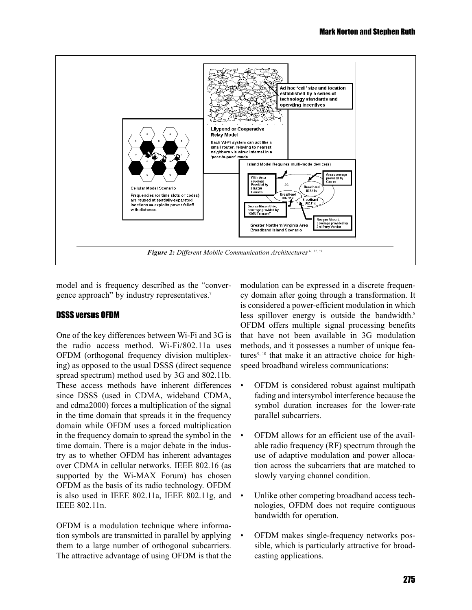

model and is frequency described as the "convergence approach" by industry representatives.<sup>7</sup>

# DSSS versus OFDM

One of the key differences between Wi-Fi and 3G is the radio access method. Wi-Fi/802.11a uses OFDM (orthogonal frequency division multiplexing) as opposed to the usual DSSS (direct sequence spread spectrum) method used by 3G and 802.11b. These access methods have inherent differences since DSSS (used in CDMA, wideband CDMA, and cdma2000) forces a multiplication of the signal in the time domain that spreads it in the frequency domain while OFDM uses a forced multiplication in the frequency domain to spread the symbol in the time domain. There is a major debate in the industry as to whether OFDM has inherent advantages over CDMA in cellular networks. IEEE 802.16 (as supported by the Wi-MAX Forum) has chosen OFDM as the basis of its radio technology. OFDM is also used in IEEE 802.11a, IEEE 802.11g, and IEEE 802.11n.

OFDM is a modulation technique where information symbols are transmitted in parallel by applying them to a large number of orthogonal subcarriers. The attractive advantage of using OFDM is that the

modulation can be expressed in a discrete frequency domain after going through a transformation. It is considered a power-efficient modulation in which less spillover energy is outside the bandwidth.<sup>8</sup> OFDM offers multiple signal processing benefits that have not been available in 3G modulation methods, and it possesses a number of unique features<sup>9, 10</sup> that make it an attractive choice for highspeed broadband wireless communications:

- OFDM is considered robust against multipath fading and intersymbol interference because the symbol duration increases for the lower-rate parallel subcarriers.
- OFDM allows for an efficient use of the available radio frequency (RF) spectrum through the use of adaptive modulation and power allocation across the subcarriers that are matched to slowly varying channel condition.
- Unlike other competing broadband access technologies, OFDM does not require contiguous bandwidth for operation.
- OFDM makes single-frequency networks possible, which is particularly attractive for broadcasting applications.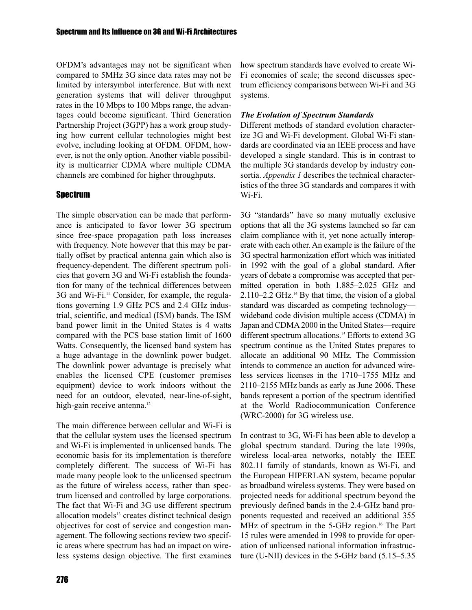OFDM's advantages may not be significant when compared to 5MHz 3G since data rates may not be limited by intersymbol interference. But with next generation systems that will deliver throughput rates in the 10 Mbps to 100 Mbps range, the advantages could become significant. Third Generation Partnership Project (3GPP) has a work group studying how current cellular technologies might best evolve, including looking at OFDM. OFDM, however, is not the only option. Another viable possibility is multicarrier CDMA where multiple CDMA channels are combined for higher throughputs.

# Spectrum

The simple observation can be made that performance is anticipated to favor lower 3G spectrum since free-space propagation path loss increases with frequency. Note however that this may be partially offset by practical antenna gain which also is frequency-dependent. The different spectrum policies that govern 3G and Wi-Fi establish the foundation for many of the technical differences between 3G and Wi-Fi.<sup>11</sup> Consider, for example, the regulations governing 1.9 GHz PCS and 2.4 GHz industrial, scientific, and medical (ISM) bands. The ISM band power limit in the United States is 4 watts compared with the PCS base station limit of 1600 Watts. Consequently, the licensed band system has a huge advantage in the downlink power budget. The downlink power advantage is precisely what enables the licensed CPE (customer premises equipment) device to work indoors without the need for an outdoor, elevated, near-line-of-sight, high-gain receive antenna.<sup>12</sup>

The main difference between cellular and Wi-Fi is that the cellular system uses the licensed spectrum and Wi-Fi is implemented in unlicensed bands. The economic basis for its implementation is therefore completely different. The success of Wi-Fi has made many people look to the unlicensed spectrum as the future of wireless access, rather than spectrum licensed and controlled by large corporations. The fact that Wi-Fi and 3G use different spectrum allocation models<sup>13</sup> creates distinct technical design objectives for cost of service and congestion management. The following sections review two specific areas where spectrum has had an impact on wireless systems design objective. The first examines

how spectrum standards have evolved to create Wi-Fi economies of scale; the second discusses spectrum efficiency comparisons between Wi-Fi and 3G systems.

# *The Evolution of Spectrum Standards*

Different methods of standard evolution characterize 3G and Wi-Fi development. Global Wi-Fi standards are coordinated via an IEEE process and have developed a single standard. This is in contrast to the multiple 3G standards develop by industry consortia. *Appendix 1* describes the technical characteristics of the three 3G standards and compares it with Wi-Fi.

3G "standards" have so many mutually exclusive options that all the 3G systems launched so far can claim compliance with it, yet none actually interoperate with each other. An example is the failure of the 3G spectral harmonization effort which was initiated in 1992 with the goal of a global standard. After years of debate a compromise was accepted that permitted operation in both 1.885–2.025 GHz and  $2.110-2.2$  GHz.<sup>14</sup> By that time, the vision of a global standard was discarded as competing technology wideband code division multiple access (CDMA) in Japan and CDMA 2000 in the United States—require different spectrum allocations.<sup>15</sup> Efforts to extend 3G spectrum continue as the United States prepares to allocate an additional 90 MHz. The Commission intends to commence an auction for advanced wireless services licenses in the 1710–1755 MHz and 2110–2155 MHz bands as early as June 2006. These bands represent a portion of the spectrum identified at the World Radiocommunication Conference (WRC-2000) for 3G wireless use.

In contrast to 3G, Wi-Fi has been able to develop a global spectrum standard. During the late 1990s, wireless local-area networks, notably the IEEE 802.11 family of standards, known as Wi-Fi, and the European HIPERLAN system, became popular as broadband wireless systems. They were based on projected needs for additional spectrum beyond the previously defined bands in the 2.4-GHz band proponents requested and received an additional 355 MHz of spectrum in the 5-GHz region.<sup>16</sup> The Part 15 rules were amended in 1998 to provide for operation of unlicensed national information infrastructure (U-NII) devices in the 5-GHz band (5.15–5.35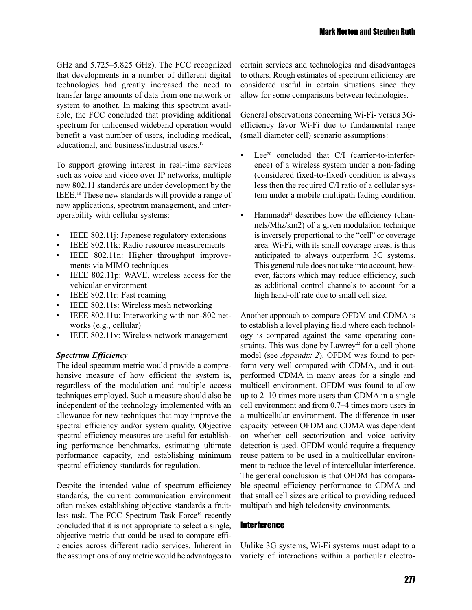GHz and 5.725–5.825 GHz). The FCC recognized that developments in a number of different digital technologies had greatly increased the need to transfer large amounts of data from one network or system to another. In making this spectrum available, the FCC concluded that providing additional spectrum for unlicensed wideband operation would benefit a vast number of users, including medical, educational, and business/industrial users.<sup>17</sup>

To support growing interest in real-time services such as voice and video over IP networks, multiple new 802.11 standards are under development by the IEEE.18 These new standards will provide a range of new applications, spectrum management, and interoperability with cellular systems:

- IEEE 802.11*j*: Japanese regulatory extensions
- IEEE 802.11k: Radio resource measurements
- IEEE 802.11n: Higher throughput improvements via MIMO techniques
- IEEE 802.11p: WAVE, wireless access for the vehicular environment
- IEEE 802.11r: Fast roaming
- IEEE 802.11s: Wireless mesh networking
- IEEE 802.11u: Interworking with non-802 networks (e.g., cellular)
- IEEE 802.11v: Wireless network management

### *Spectrum Efficiency*

The ideal spectrum metric would provide a comprehensive measure of how efficient the system is, regardless of the modulation and multiple access techniques employed. Such a measure should also be independent of the technology implemented with an allowance for new techniques that may improve the spectral efficiency and/or system quality. Objective spectral efficiency measures are useful for establishing performance benchmarks, estimating ultimate performance capacity, and establishing minimum spectral efficiency standards for regulation.

Despite the intended value of spectrum efficiency standards, the current communication environment often makes establishing objective standards a fruitless task. The FCC Spectrum Task Force<sup>19</sup> recently concluded that it is not appropriate to select a single, objective metric that could be used to compare efficiencies across different radio services. Inherent in the assumptions of any metric would be advantages to

certain services and technologies and disadvantages to others. Rough estimates of spectrum efficiency are considered useful in certain situations since they allow for some comparisons between technologies.

General observations concerning Wi-Fi- versus 3Gefficiency favor Wi-Fi due to fundamental range (small diameter cell) scenario assumptions:

- Lee<sup>20</sup> concluded that  $C/I$  (carrier-to-interference) of a wireless system under a non-fading (considered fixed-to-fixed) condition is always less then the required C/I ratio of a cellular system under a mobile multipath fading condition.
- $\cdot$  Hammada<sup>21</sup> describes how the efficiency (channels/Mhz/km2) of a given modulation technique is inversely proportional to the "cell" or coverage area. Wi-Fi, with its small coverage areas, is thus anticipated to always outperform 3G systems. This general rule does not take into account, however, factors which may reduce efficiency, such as additional control channels to account for a high hand-off rate due to small cell size.

Another approach to compare OFDM and CDMA is to establish a level playing field where each technology is compared against the same operating constraints. This was done by  $Lawrey^{22}$  for a cell phone model (see *Appendix 2*). OFDM was found to perform very well compared with CDMA, and it outperformed CDMA in many areas for a single and multicell environment. OFDM was found to allow up to 2–10 times more users than CDMA in a single cell environment and from 0.7–4 times more users in a multicellular environment. The difference in user capacity between OFDM and CDMA was dependent on whether cell sectorization and voice activity detection is used. OFDM would require a frequency reuse pattern to be used in a multicellular environment to reduce the level of intercellular interference. The general conclusion is that OFDM has comparable spectral efficiency performance to CDMA and that small cell sizes are critical to providing reduced multipath and high teledensity environments.

## **Interference**

Unlike 3G systems, Wi-Fi systems must adapt to a variety of interactions within a particular electro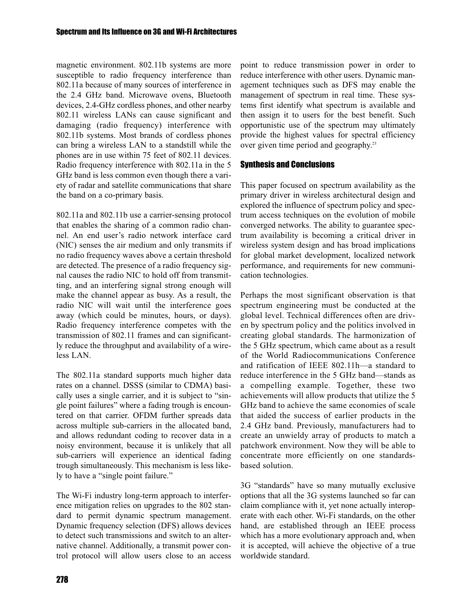magnetic environment. 802.11b systems are more susceptible to radio frequency interference than 802.11a because of many sources of interference in the 2.4 GHz band. Microwave ovens, Bluetooth devices, 2.4-GHz cordless phones, and other nearby 802.11 wireless LANs can cause significant and damaging (radio frequency) interference with 802.11b systems. Most brands of cordless phones can bring a wireless LAN to a standstill while the phones are in use within 75 feet of 802.11 devices. Radio frequency interference with 802.11a in the 5 GHz band is less common even though there a variety of radar and satellite communications that share the band on a co-primary basis.

802.11a and 802.11b use a carrier-sensing protocol that enables the sharing of a common radio channel. An end user's radio network interface card (NIC) senses the air medium and only transmits if no radio frequency waves above a certain threshold are detected. The presence of a radio frequency signal causes the radio NIC to hold off from transmitting, and an interfering signal strong enough will make the channel appear as busy. As a result, the radio NIC will wait until the interference goes away (which could be minutes, hours, or days). Radio frequency interference competes with the transmission of 802.11 frames and can significantly reduce the throughput and availability of a wireless LAN.

The 802.11a standard supports much higher data rates on a channel. DSSS (similar to CDMA) basically uses a single carrier, and it is subject to "single point failures" where a fading trough is encountered on that carrier. OFDM further spreads data across multiple sub-carriers in the allocated band, and allows redundant coding to recover data in a noisy environment, because it is unlikely that all sub-carriers will experience an identical fading trough simultaneously. This mechanism is less likely to have a "single point failure."

The Wi-Fi industry long-term approach to interference mitigation relies on upgrades to the 802 standard to permit dynamic spectrum management. Dynamic frequency selection (DFS) allows devices to detect such transmissions and switch to an alternative channel. Additionally, a transmit power control protocol will allow users close to an access

point to reduce transmission power in order to reduce interference with other users. Dynamic management techniques such as DFS may enable the management of spectrum in real time. These systems first identify what spectrum is available and then assign it to users for the best benefit. Such opportunistic use of the spectrum may ultimately provide the highest values for spectral efficiency over given time period and geography.23

# Synthesis and Conclusions

This paper focused on spectrum availability as the primary driver in wireless architectural design and explored the influence of spectrum policy and spectrum access techniques on the evolution of mobile converged networks. The ability to guarantee spectrum availability is becoming a critical driver in wireless system design and has broad implications for global market development, localized network performance, and requirements for new communication technologies.

Perhaps the most significant observation is that spectrum engineering must be conducted at the global level. Technical differences often are driven by spectrum policy and the politics involved in creating global standards. The harmonization of the 5 GHz spectrum, which came about as a result of the World Radiocommunications Conference and ratification of IEEE 802.11h—a standard to reduce interference in the 5 GHz band—stands as a compelling example. Together, these two achievements will allow products that utilize the 5 GHz band to achieve the same economies of scale that aided the success of earlier products in the 2.4 GHz band. Previously, manufacturers had to create an unwieldy array of products to match a patchwork environment. Now they will be able to concentrate more efficiently on one standardsbased solution.

3G "standards" have so many mutually exclusive options that all the 3G systems launched so far can claim compliance with it, yet none actually interoperate with each other. Wi-Fi standards, on the other hand, are established through an IEEE process which has a more evolutionary approach and, when it is accepted, will achieve the objective of a true worldwide standard.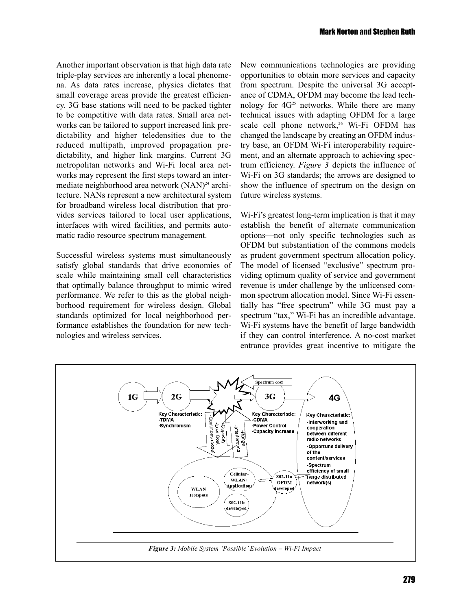Another important observation is that high data rate triple-play services are inherently a local phenomena. As data rates increase, physics dictates that small coverage areas provide the greatest efficiency. 3G base stations will need to be packed tighter to be competitive with data rates. Small area networks can be tailored to support increased link predictability and higher teledensities due to the reduced multipath, improved propagation predictability, and higher link margins. Current 3G metropolitan networks and Wi-Fi local area networks may represent the first steps toward an intermediate neighborhood area network (NAN)<sup>24</sup> architecture. NANs represent a new architectural system for broadband wireless local distribution that provides services tailored to local user applications, interfaces with wired facilities, and permits automatic radio resource spectrum management.

Successful wireless systems must simultaneously satisfy global standards that drive economies of scale while maintaining small cell characteristics that optimally balance throughput to mimic wired performance. We refer to this as the global neighborhood requirement for wireless design. Global standards optimized for local neighborhood performance establishes the foundation for new technologies and wireless services.

New communications technologies are providing opportunities to obtain more services and capacity from spectrum. Despite the universal 3G acceptance of CDMA, OFDM may become the lead technology for  $4G^{25}$  networks. While there are many technical issues with adapting OFDM for a large scale cell phone network,<sup>26</sup> Wi-Fi OFDM has changed the landscape by creating an OFDM industry base, an OFDM Wi-Fi interoperability requirement, and an alternate approach to achieving spectrum efficiency. *Figure 3* depicts the influence of Wi-Fi on 3G standards; the arrows are designed to show the influence of spectrum on the design on future wireless systems.

Wi-Fi's greatest long-term implication is that it may establish the benefit of alternate communication options—not only specific technologies such as OFDM but substantiation of the commons models as prudent government spectrum allocation policy. The model of licensed "exclusive" spectrum providing optimum quality of service and government revenue is under challenge by the unlicensed common spectrum allocation model. Since Wi-Fi essentially has "free spectrum" while 3G must pay a spectrum "tax," Wi-Fi has an incredible advantage. Wi-Fi systems have the benefit of large bandwidth if they can control interference. A no-cost market entrance provides great incentive to mitigate the

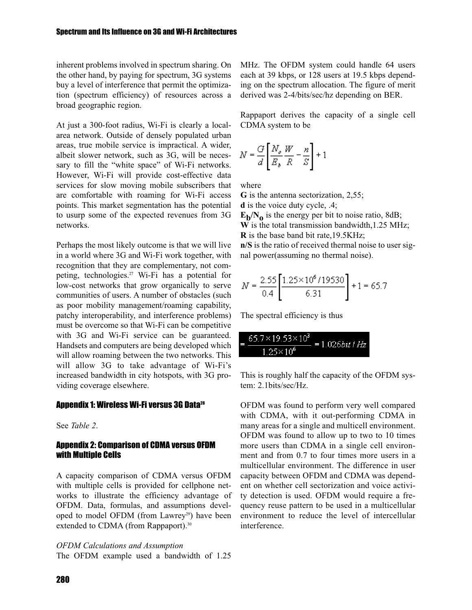inherent problems involved in spectrum sharing. On the other hand, by paying for spectrum, 3G systems buy a level of interference that permit the optimization (spectrum efficiency) of resources across a broad geographic region.

At just a 300-foot radius, Wi-Fi is clearly a localarea network. Outside of densely populated urban areas, true mobile service is impractical. A wider, albeit slower network, such as 3G, will be necessary to fill the "white space" of Wi-Fi networks. However, Wi-Fi will provide cost-effective data services for slow moving mobile subscribers that are comfortable with roaming for Wi-Fi access points. This market segmentation has the potential to usurp some of the expected revenues from 3G networks.

Perhaps the most likely outcome is that we will live in a world where 3G and Wi-Fi work together, with recognition that they are complementary, not competing, technologies.27 Wi-Fi has a potential for low-cost networks that grow organically to serve communities of users. A number of obstacles (such as poor mobility management/roaming capability, patchy interoperability, and interference problems) must be overcome so that Wi-Fi can be competitive with 3G and Wi-Fi service can be guaranteed. Handsets and computers are being developed which will allow roaming between the two networks. This will allow 3G to take advantage of Wi-Fi's increased bandwidth in city hotspots, with 3G providing coverage elsewhere.

#### Appendix 1: Wireless Wi-Fi versus 3G Data28

See *Table 2*.

## Appendix 2: Comparison of CDMA versus OFDM with Multiple Cells

A capacity comparison of CDMA versus OFDM with multiple cells is provided for cellphone networks to illustrate the efficiency advantage of OFDM. Data, formulas, and assumptions developed to model OFDM (from Lawrey<sup>29</sup>) have been extended to CDMA (from Rappaport).<sup>30</sup>

*OFDM Calculations and Assumption* The OFDM example used a bandwidth of 1.25 MHz. The OFDM system could handle 64 users each at 39 kbps, or 128 users at 19.5 kbps depending on the spectrum allocation. The figure of merit derived was 2-4/bits/sec/hz depending on BER.

Rappaport derives the capacity of a single cell CDMA system to be

$$
N = \frac{G}{d} \left[ \frac{N_o}{E_b} \frac{W}{R} - \frac{n}{S} \right] + 1
$$

where

**G** is the antenna sectorization, 2,55;

**d** is the voice duty cycle, .4;

 $E_b/N_o$  is the energy per bit to noise ratio, 8dB; **W** is the total transmission bandwidth,1.25 MHz; **R** is the base band bit rate,19.5KHz;

**n/S** is the ratio of received thermal noise to user signal power(assuming no thermal noise).

$$
N = \frac{2.55}{0.4} \left[ \frac{1.25 \times 10^6 / 19530}{6.31} \right] + 1 = 65.7
$$

The spectral efficiency is thus

| $65.7 \times 19.53 \times 10^3$ | $=1.026bit/Hz$ |
|---------------------------------|----------------|
| $1.25 \times 10^{6}$            |                |

This is roughly half the capacity of the OFDM system: 2.1bits/sec/Hz.

OFDM was found to perform very well compared with CDMA, with it out-performing CDMA in many areas for a single and multicell environment. OFDM was found to allow up to two to 10 times more users than CDMA in a single cell environment and from 0.7 to four times more users in a multicellular environment. The difference in user capacity between OFDM and CDMA was dependent on whether cell sectorization and voice activity detection is used. OFDM would require a frequency reuse pattern to be used in a multicellular environment to reduce the level of intercellular interference.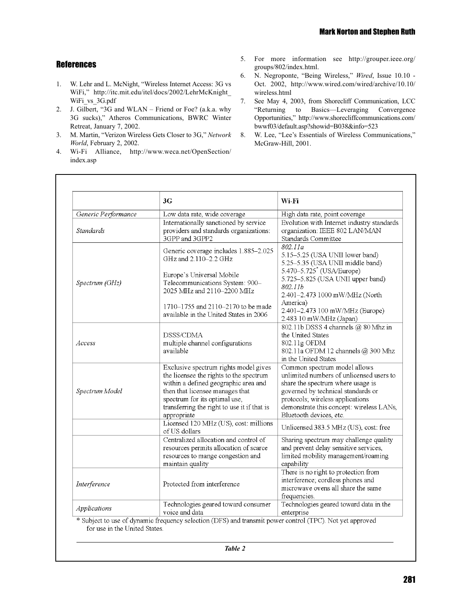## **References**

- 1. W. Lehr and L. McNight, "Wireless Internet Access: 3G vs WiFi," http://itc.mit.edu/itel/docs/2002/LehrMcKnight\_ WiFi\_vs\_3G.pdf
- 2. J. Gilbert, "3G and WLAN Friend or Foe? (a.k.a. why 3G sucks)," Atheros Communications, BWRC Winter Retreat, January 7, 2002.
- 3. M. Martin, "Verizon Wireless Gets Closer to 3G," *Network World*, February 2, 2002.
- 4. Wi-Fi Alliance, http://www.weca.net/OpenSection/ index.asp
- 5. For more information see http://grouper.ieee.org/ groups/802/index.html.
- 6. N. Negroponte, "Being Wireless," *Wired*, Issue 10.10 Oct. 2002, http://www.wired.com/wired/archive/10.10/ wireless.html
- 7. See May 4, 2003, from Shorecliff Communication, LCC "Returning to Basics—Leveraging Convergence Opportunities," http://www.shorecliffcommunications.com/ bwwf03/default.asp?showid=B038&info=523
- 8. W. Lee, "Lee's Essentials of Wireless Communications," McGraw-Hill, 2001.

|                     | 3G                                                                                                                                                                                                                                                         | Wi-Fi                                                                                                                                                                                                                                                                               |
|---------------------|------------------------------------------------------------------------------------------------------------------------------------------------------------------------------------------------------------------------------------------------------------|-------------------------------------------------------------------------------------------------------------------------------------------------------------------------------------------------------------------------------------------------------------------------------------|
| Generic Performance | Low data rate, wide coverage                                                                                                                                                                                                                               | High data rate, point coverage                                                                                                                                                                                                                                                      |
| <b>Standards</b>    | Internationally sanctioned by service<br>providers and standards organizations:<br>3GPP and 3GPP2                                                                                                                                                          | Evolution with Internet industry standards<br>organization: IEEE 802 LAN/MAN<br>Standards Committee                                                                                                                                                                                 |
| Spectrum (GHz)      | Generic coverage includes 1.885-2.025<br>GHz and 2.110-2.2 GHz<br>Europe's Universal Mobile<br>Telecommunications System: 900-<br>2025 MHz and 2110-2200 MHz<br>1710–1755 and 2110–2170 to be made<br>available in the United States in 2006               | 802.11a<br>5.15-5.25 (USA UNII lower band)<br>5.25-5.35 (USA UNII middle band)<br>5.470–5.725 <sup>*</sup> (USA/Europe)<br>5.725-5.825 (USA UNII upper band)<br>802.11b<br>2.401-2.473 1000 mW/MHz (North<br>America)<br>2.401-2.473 100 mW/MHz (Europe)<br>2.483 10 mW/MHz (Japan) |
| Access              | DSSS/CDMA<br>multiple channel configurations<br>available                                                                                                                                                                                                  | 802.11b DSSS 4 channels @ 80 Mhz in<br>the United States<br>802.11g OFDM<br>802.11a OFDM 12 channels @ 300 Mhz<br>in the United States                                                                                                                                              |
| Spectrum Model      | Exclusive spectrum rights model gives<br>the licensee the rights to the spectrum<br>within a defined geographic area and<br>then that licensee manages that<br>spectrum for its optimal use,<br>transferring the right to use it if that is<br>appropriate | Common spectrum model allows<br>unlimited numbers of unlicensed users to<br>share the spectrum where usage is<br>governed by technical standards or<br>protocols; wireless applications<br>demonstrate this concept: wireless LANs,<br>Bluetooth devices, etc.                      |
|                     | Licensed 120 MHz (US), cost: millions<br>of US dollars                                                                                                                                                                                                     | Unlicensed 383.5 MHz (US), cost: free                                                                                                                                                                                                                                               |
|                     | Centralized allocation and control of<br>resources permits allocation of scarce<br>resources to mange congestion and<br>maintain quality                                                                                                                   | Sharing spectrum may challenge quality<br>and prevent delay sensitive services,<br>limited mobility management/roaming<br>capability                                                                                                                                                |
| Interference        | Protected from interference                                                                                                                                                                                                                                | There is no right to protection from<br>interference; cordless phones and<br>microwave ovens all share the same<br>frequencies.                                                                                                                                                     |
| Applications        | Technologies geared toward consumer<br>voice and data                                                                                                                                                                                                      | Technologies geared toward data in the<br>enterprise                                                                                                                                                                                                                                |